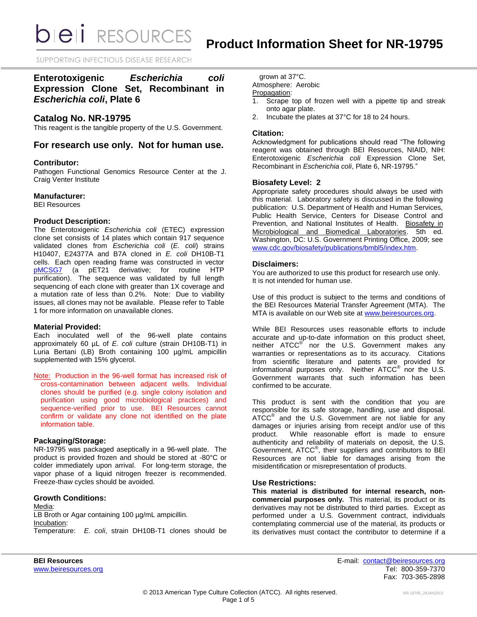*DIEI RESOURCES* 

SUPPORTING INFECTIOUS DISEASE RESEARCH

## **Enterotoxigenic** *Escherichia coli* **Expression Clone Set, Recombinant in**  *Escherichia coli***, Plate 6**

### **Catalog No. NR-19795**

This reagent is the tangible property of the U.S. Government.

## **For research use only. Not for human use.**

#### **Contributor:**

Pathogen Functional Genomics Resource Center at the J. Craig Venter Institute

#### **Manufacturer:**

BEI Resources

#### **Product Description:**

The Enterotoxigenic *Escherichia coli* (ETEC) expression clone set consists of 14 plates which contain 917 sequence validated clones from *Escherichia coli* (*E. coli*) strains H10407, E24377A and B7A cloned in *E. coli* DH10B-T1 cells. Each open reading frame was constructed in vector [pMCSG7](http://plasmid.med.harvard.edu/PLASMID/GetVectorDetail.do?vectorid=367) (a pET21 derivative; for routine HTP purification). The sequence was validated by full length sequencing of each clone with greater than 1X coverage and a mutation rate of less than 0.2%. Note: Due to viability issues, all clones may not be available. Please refer to Table 1 for more information on unavailable clones.

#### **Material Provided:**

Each inoculated well of the 96-well plate contains approximately 60 µL of *E. coli* culture (strain DH10B-T1) in Luria Bertani (LB) Broth containing 100 µg/mL ampicillin supplemented with 15% glycerol.

Note: Production in the 96-well format has increased risk of cross-contamination between adjacent wells. Individual clones should be purified (e.g. single colony isolation and purification using good microbiological practices) and sequence-verified prior to use. BEI Resources cannot confirm or validate any clone not identified on the plate information table.

#### **Packaging/Storage:**

NR-19795 was packaged aseptically in a 96-well plate. The product is provided frozen and should be stored at -80°C or colder immediately upon arrival. For long-term storage, the vapor phase of a liquid nitrogen freezer is recommended. Freeze-thaw cycles should be avoided.

### **Growth Conditions:**

Media: LB Broth or Agar containing 100 µg/mL ampicillin. Incubation: Temperature: *E. coli*, strain DH10B-T1 clones should be

grown at 37°C. Atmosphere: Aerobic Propagation:

- 1. Scrape top of frozen well with a pipette tip and streak onto agar plate.
- 2. Incubate the plates at 37°C for 18 to 24 hours.

#### **Citation:**

Acknowledgment for publications should read "The following reagent was obtained through BEI Resources, NIAID, NIH: Enterotoxigenic *Escherichia coli* Expression Clone Set, Recombinant in *Escherichia coli*, Plate 6, NR-19795."

#### **Biosafety Level: 2**

Appropriate safety procedures should always be used with this material. Laboratory safety is discussed in the following publication: U.S. Department of Health and Human Services, Public Health Service, Centers for Disease Control and Prevention, and National Institutes of Health. Biosafety in Microbiological and Biomedical Laboratories. 5th ed. Washington, DC: U.S. Government Printing Office, 2009; see [www.cdc.gov/biosafety/publications/bmbl5/index.htm.](http://www.cdc.gov/biosafety/publications/bmbl5/index.htm)

#### **Disclaimers:**

You are authorized to use this product for research use only. It is not intended for human use.

Use of this product is subject to the terms and conditions of the BEI Resources Material Transfer Agreement (MTA). The MTA is available on our Web site at [www.beiresources.org.](http://www.beiresources.org/)

While BEI Resources uses reasonable efforts to include accurate and up-to-date information on this product sheet, neither ATCC<sup>®</sup> nor the U.S. Government makes any warranties or representations as to its accuracy. Citations from scientific literature and patents are provided for informational purposes only. Neither ATCC<sup>®</sup> nor the U.S. Government warrants that such information has been confirmed to be accurate.

This product is sent with the condition that you are responsible for its safe storage, handling, use and disposal. ATCC<sup>®</sup> and the U.S. Government are not liable for any damages or injuries arising from receipt and/or use of this product. While reasonable effort is made to ensure authenticity and reliability of materials on deposit, the U.S. Government, ATCC<sup>®</sup>, their suppliers and contributors to BEI Resources are not liable for damages arising from the misidentification or misrepresentation of products.

#### **Use Restrictions:**

**This material is distributed for internal research, noncommercial purposes only.** This material, its product or its derivatives may not be distributed to third parties. Except as performed under a U.S. Government contract, individuals contemplating commercial use of the material, its products or its derivatives must contact the contributor to determine if a

**BEI Resources** E-mail: [contact@beiresources.org](mailto:contact@beiresources.org) [www.beiresources.org](http://www.beiresources.org/) **Tel: 800-359-7370** Fax: 703-365-2898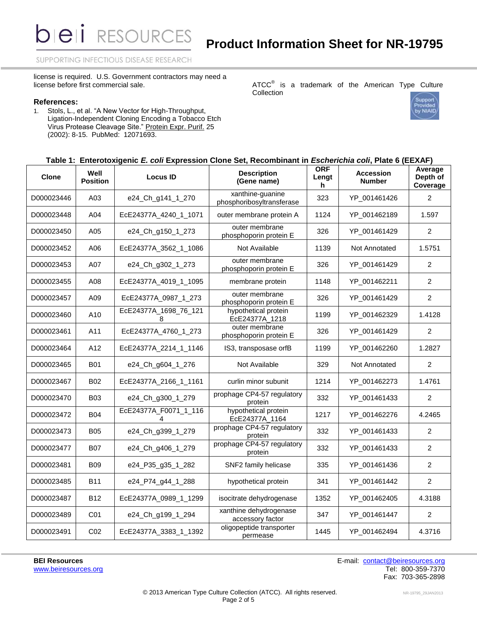SUPPORTING INFECTIOUS DISEASE RESEARCH

license is required. U.S. Government contractors may need a license before first commercial sale.

#### **References:**

1. Stols, L., et al. "A New Vector for High-Throughput, Ligation-Independent Cloning Encoding a Tobacco Etch Virus Protease Cleavage Site." Protein Expr. Purif. 25 (2002): 8-15. PubMed: 12071693.

#### ATCC $^{\circ}$  is a trademark of the American Type Culture Collection



### **Table 1: Enterotoxigenic** *E. coli* **Expression Clone Set, Recombinant in** *Escherichia coli***, Plate 6 (EEXAF)**

| <b>Clone</b> | Well<br><b>Position</b> | <b>Locus ID</b>            | <b>Description</b><br>(Gene name)             | <b>ORF</b><br>Lengt<br>h | <b>Accession</b><br><b>Number</b> | Average<br>Depth of<br>Coverage |
|--------------|-------------------------|----------------------------|-----------------------------------------------|--------------------------|-----------------------------------|---------------------------------|
| D000023446   | A03                     | e24_Ch_g141_1_270          | xanthine-guanine<br>phosphoribosyltransferase | 323                      | YP_001461426                      | 2                               |
| D000023448   | A04                     | EcE24377A_4240_1_1071      | outer membrane protein A                      | 1124                     | YP_001462189                      | 1.597                           |
| D000023450   | A05                     | e24_Ch_g150_1_273          | outer membrane<br>phosphoporin protein E      | 326                      | YP_001461429                      | $\overline{2}$                  |
| D000023452   | A06                     | EcE24377A 3562 1 1086      | Not Available                                 | 1139                     | Not Annotated                     | 1.5751                          |
| D000023453   | A07                     | e24_Ch_g302_1_273          | outer membrane<br>phosphoporin protein E      | 326                      | YP_001461429                      | $\overline{2}$                  |
| D000023455   | A08                     | EcE24377A_4019_1_1095      | membrane protein                              | 1148                     | YP_001462211                      | 2                               |
| D000023457   | A09                     | EcE24377A_0987_1_273       | outer membrane<br>phosphoporin protein E      | 326                      | YP_001461429                      | $\overline{2}$                  |
| D000023460   | A10                     | EcE24377A_1698_76_121<br>8 | hypothetical protein<br>EcE24377A_1218        | 1199                     | YP_001462329                      | 1.4128                          |
| D000023461   | A11                     | EcE24377A_4760_1_273       | outer membrane<br>phosphoporin protein E      | 326                      | YP_001461429                      | $\overline{2}$                  |
| D000023464   | A12                     | EcE24377A_2214_1_1146      | IS3, transposase orfB                         | 1199                     | YP_001462260                      | 1.2827                          |
| D000023465   | <b>B01</b>              | e24_Ch_g604_1_276          | Not Available                                 | 329                      | Not Annotated                     | $\overline{2}$                  |
| D000023467   | <b>B02</b>              | EcE24377A_2166_1_1161      | curlin minor subunit                          | 1214                     | YP_001462273                      | 1.4761                          |
| D000023470   | <b>B03</b>              | e24_Ch_g300_1_279          | prophage CP4-57 regulatory<br>protein         | 332                      | YP_001461433                      | $\overline{2}$                  |
| D000023472   | <b>B04</b>              | EcE24377A_F0071_1_116      | hypothetical protein<br>EcE24377A_1164        | 1217                     | YP_001462276                      | 4.2465                          |
| D000023473   | <b>B05</b>              | e24_Ch_g399_1_279          | prophage CP4-57 regulatory<br>protein         | 332                      | YP_001461433                      | 2                               |
| D000023477   | <b>B07</b>              | e24 Ch g406 1 279          | prophage CP4-57 regulatory<br>protein         | 332                      | YP_001461433                      | $\overline{2}$                  |
| D000023481   | <b>B09</b>              | e24_P35_g35_1_282          | SNF2 family helicase                          | 335                      | YP_001461436                      | $\overline{2}$                  |
| D000023485   | B11                     | e24_P74_g44_1_288          | hypothetical protein                          | 341                      | YP_001461442                      | $\overline{2}$                  |
| D000023487   | <b>B12</b>              | EcE24377A_0989_1_1299      | isocitrate dehydrogenase                      | 1352                     | YP_001462405                      | 4.3188                          |
| D000023489   | C01                     | e24_Ch_g199_1_294          | xanthine dehydrogenase<br>accessory factor    | 347                      | YP_001461447                      | $\overline{2}$                  |
| D000023491   | CO <sub>2</sub>         | EcE24377A_3383_1_1392      | oligopeptide transporter<br>permease          | 1445                     | YP_001462494                      | 4.3716                          |

**BEI Resources** E-mail: [contact@beiresources.org](mailto:contact@beiresources.org) [www.beiresources.org](http://www.beiresources.org/) **Tel: 800-359-7370** Fax: 703-365-2898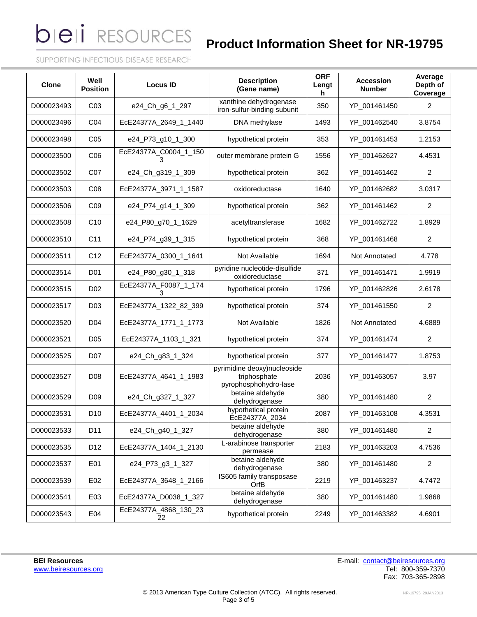**bieli** RESOURCES

# **Product Information Sheet for NR-19795**

SUPPORTING INFECTIOUS DISEASE RESEARCH

| <b>Clone</b> | Well<br><b>Position</b> | <b>Locus ID</b>             | <b>Description</b><br>(Gene name)                                    | <b>ORF</b><br>Lengt<br>h | <b>Accession</b><br><b>Number</b> | Average<br>Depth of<br>Coverage |
|--------------|-------------------------|-----------------------------|----------------------------------------------------------------------|--------------------------|-----------------------------------|---------------------------------|
| D000023493   | CO <sub>3</sub>         | e24_Ch_g6_1_297             | xanthine dehydrogenase<br>iron-sulfur-binding subunit                | 350                      | YP_001461450                      | 2                               |
| D000023496   | C04                     | EcE24377A_2649_1_1440       | DNA methylase                                                        | 1493                     | YP 001462540                      | 3.8754                          |
| D000023498   | C <sub>05</sub>         | e24_P73_g10_1_300           | hypothetical protein                                                 | 353                      | YP 001461453                      | 1.2153                          |
| D000023500   | C <sub>06</sub>         | EcE24377A_C0004_1_150<br>з  | outer membrane protein G                                             | 1556                     | YP_001462627                      | 4.4531                          |
| D000023502   | C07                     | e24_Ch_g319_1_309           | hypothetical protein                                                 | 362                      | YP_001461462                      | $\overline{c}$                  |
| D000023503   | CO8                     | EcE24377A_3971_1_1587       | oxidoreductase                                                       | 1640                     | YP_001462682                      | 3.0317                          |
| D000023506   | CO <sub>9</sub>         | e24_P74_g14_1_309           | hypothetical protein                                                 | 362                      | YP_001461462                      | 2                               |
| D000023508   | C10                     | e24_P80_g70_1_1629          | acetyltransferase                                                    | 1682                     | YP_001462722                      | 1.8929                          |
| D000023510   | C <sub>11</sub>         | e24 P74 g39 1 315           | hypothetical protein                                                 | 368                      | YP_001461468                      | 2                               |
| D000023511   | C <sub>12</sub>         | EcE24377A_0300_1_1641       | Not Available                                                        | 1694                     | Not Annotated                     | 4.778                           |
| D000023514   | D01                     | e24 P80 g30 1 318           | pyridine nucleotide-disulfide<br>oxidoreductase                      | 371                      | YP_001461471                      | 1.9919                          |
| D000023515   | D <sub>02</sub>         | EcE24377A_F0087_1_174<br>3  | hypothetical protein                                                 | 1796                     | YP_001462826                      | 2.6178                          |
| D000023517   | D <sub>03</sub>         | EcE24377A_1322_82_399       | hypothetical protein                                                 | 374                      | YP_001461550                      | 2                               |
| D000023520   | D <sub>04</sub>         | EcE24377A_1771_1_1773       | Not Available                                                        | 1826                     | Not Annotated                     | 4.6889                          |
| D000023521   | D <sub>05</sub>         | EcE24377A_1103_1_321        | hypothetical protein                                                 | 374                      | YP_001461474                      | 2                               |
| D000023525   | D07                     | e24_Ch_g83_1_324            | hypothetical protein                                                 | 377                      | YP_001461477                      | 1.8753                          |
| D000023527   | D <sub>08</sub>         | EcE24377A_4641_1_1983       | pyrimidine deoxy)nucleoside<br>triphosphate<br>pyrophosphohydro-lase | 2036                     | YP_001463057                      | 3.97                            |
| D000023529   | D <sub>09</sub>         | e24_Ch_g327_1_327           | betaine aldehyde<br>dehydrogenase                                    | 380                      | YP_001461480                      | $\overline{2}$                  |
| D000023531   | D <sub>10</sub>         | EcE24377A_4401_1_2034       | hypothetical protein<br>EcE24377A 2034                               | 2087                     | YP_001463108                      | 4.3531                          |
| D000023533   | D11                     | e24 Ch g40 1 327            | betaine aldehyde<br>dehydrogenase                                    | 380                      | YP_001461480                      | $\overline{2}$                  |
| D000023535   | D12                     | EcE24377A_1404_1_2130       | L-arabinose transporter<br>permease                                  | 2183                     | YP_001463203                      | 4.7536                          |
| D000023537   | E01                     | e24_P73_g3_1_327            | betaine aldehyde<br>dehydrogenase                                    | 380                      | YP_001461480                      | $\overline{c}$                  |
| D000023539   | E02                     | EcE24377A_3648_1_2166       | IS605 family transposase<br><b>OrfB</b>                              | 2219                     | YP_001463237                      | 4.7472                          |
| D000023541   | E03                     | EcE24377A_D0038_1_327       | betaine aldehyde<br>dehydrogenase                                    | 380                      | YP_001461480                      | 1.9868                          |
| D000023543   | E04                     | EcE24377A_4868_130_23<br>22 | hypothetical protein                                                 | 2249                     | YP_001463382                      | 4.6901                          |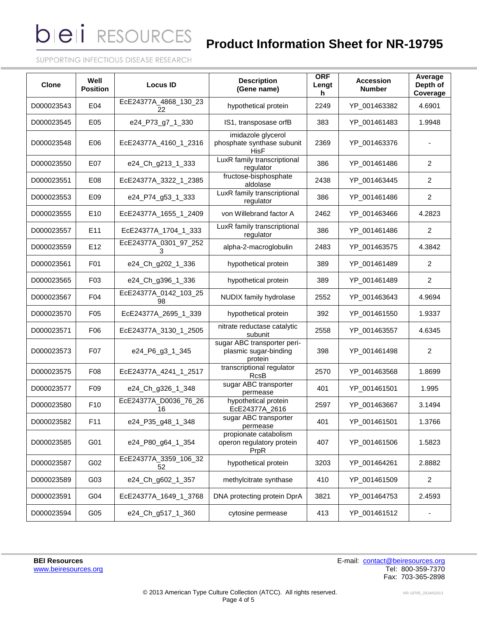**bieli** RESOURCES

# **Product Information Sheet for NR-19795**

SUPPORTING INFECTIOUS DISEASE RESEARCH

| <b>Clone</b> | Well<br><b>Position</b> | <b>Locus ID</b>             | <b>Description</b><br>(Gene name)                               | <b>ORF</b><br>Lengt<br>h | <b>Accession</b><br><b>Number</b> | Average<br>Depth of<br>Coverage |
|--------------|-------------------------|-----------------------------|-----------------------------------------------------------------|--------------------------|-----------------------------------|---------------------------------|
| D000023543   | E04                     | EcE24377A_4868_130_23<br>22 | hypothetical protein                                            | 2249                     | YP_001463382                      | 4.6901                          |
| D000023545   | E05                     | e24_P73_g7_1_330            | IS1, transposase orfB                                           | 383                      | YP 001461483                      | 1.9948                          |
| D000023548   | E06                     | EcE24377A_4160_1_2316       | imidazole glycerol<br>phosphate synthase subunit<br>HisF        | 2369                     | YP_001463376                      |                                 |
| D000023550   | E07                     | e24_Ch_g213_1_333           | LuxR family transcriptional<br>regulator                        | 386                      | YP_001461486                      | $\overline{2}$                  |
| D000023551   | E08                     | EcE24377A_3322_1_2385       | fructose-bisphosphate<br>aldolase                               | 2438                     | YP_001463445                      | $\overline{2}$                  |
| D000023553   | E09                     | e24_P74_g53_1_333           | LuxR family transcriptional<br>regulator                        | 386                      | YP_001461486                      | $\overline{2}$                  |
| D000023555   | E10                     | EcE24377A_1655_1_2409       | von Willebrand factor A                                         | 2462                     | YP_001463466                      | 4.2823                          |
| D000023557   | E11                     | EcE24377A_1704_1_333        | LuxR family transcriptional<br>regulator                        | 386                      | YP 001461486                      | 2                               |
| D000023559   | E12                     | EcE24377A_0301_97_252<br>3. | alpha-2-macroglobulin                                           | 2483                     | YP_001463575                      | 4.3842                          |
| D000023561   | F01                     | e24_Ch_g202_1_336           | hypothetical protein                                            | 389                      | YP_001461489                      | 2                               |
| D000023565   | F <sub>0</sub> 3        | e24_Ch_g396_1_336           | hypothetical protein                                            | 389                      | YP_001461489                      | 2                               |
| D000023567   | F04                     | EcE24377A_0142_103_25<br>98 | NUDIX family hydrolase                                          | 2552                     | YP_001463643                      | 4.9694                          |
| D000023570   | F <sub>05</sub>         | EcE24377A_2695_1_339        | hypothetical protein                                            | 392                      | YP_001461550                      | 1.9337                          |
| D000023571   | F06                     | EcE24377A_3130_1_2505       | nitrate reductase catalytic<br>subunit                          | 2558                     | YP_001463557                      | 4.6345                          |
| D000023573   | F07                     | e24_P6_g3_1_345             | sugar ABC transporter peri-<br>plasmic sugar-binding<br>protein | 398                      | YP_001461498                      | 2                               |
| D000023575   | F <sub>0</sub> 8        | EcE24377A_4241_1_2517       | transcriptional regulator<br>RcsB                               | 2570                     | YP_001463568                      | 1.8699                          |
| D000023577   | F09                     | e24_Ch_g326_1_348           | sugar ABC transporter<br>permease                               | 401                      | YP_001461501                      | 1.995                           |
| D000023580   | F <sub>10</sub>         | EcE24377A_D0036_76_26<br>16 | hypothetical protein<br>EcE24377A_2616                          | 2597                     | YP_001463667                      | 3.1494                          |
| D000023582   | F11                     | e24_P35_g48_1_348           | sugar ABC transporter<br>permease                               | 401                      | YP_001461501                      | 1.3766                          |
| D000023585   | G01                     | e24_P80_g64_1_354           | propionate catabolism<br>operon regulatory protein<br>PrpR      | 407                      | YP_001461506                      | 1.5823                          |
| D000023587   | G02                     | EcE24377A_3359_106_32<br>52 | hypothetical protein                                            | 3203                     | YP_001464261                      | 2.8882                          |
| D000023589   | G03                     | e24_Ch_g602_1_357           | methylcitrate synthase                                          | 410                      | YP_001461509                      | $\overline{c}$                  |
| D000023591   | G04                     | EcE24377A_1649_1_3768       | DNA protecting protein DprA                                     | 3821                     | YP_001464753                      | 2.4593                          |
| D000023594   | G05                     | e24_Ch_g517_1_360           | cytosine permease                                               | 413                      | YP_001461512                      |                                 |